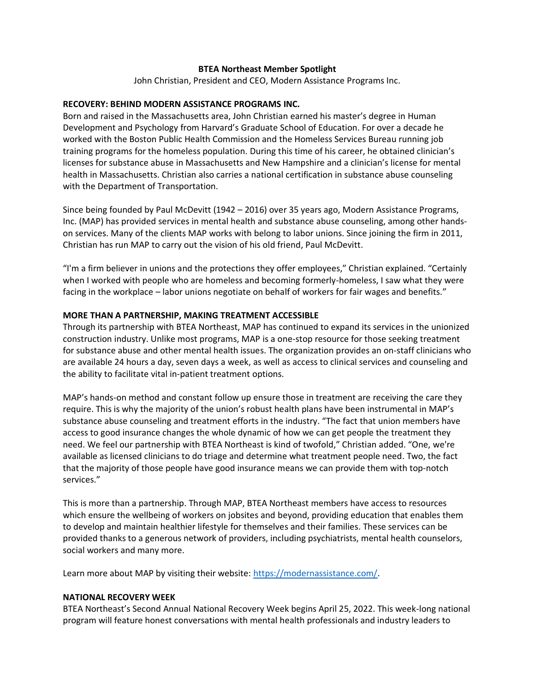### **BTEA Northeast Member Spotlight**

John Christian, President and CEO, Modern Assistance Programs Inc.

### **RECOVERY: BEHIND MODERN ASSISTANCE PROGRAMS INC.**

Born and raised in the Massachusetts area, John Christian earned his master's degree in Human Development and Psychology from Harvard's Graduate School of Education. For over a decade he worked with the Boston Public Health Commission and the Homeless Services Bureau running job training programs for the homeless population. During this time of his career, he obtained clinician's licenses for substance abuse in Massachusetts and New Hampshire and a clinician's license for mental health in Massachusetts. Christian also carries a national certification in substance abuse counseling with the Department of Transportation.

Since being founded by Paul McDevitt (1942 – 2016) over 35 years ago, Modern Assistance Programs, Inc. (MAP) has provided services in mental health and substance abuse counseling, among other handson services. Many of the clients MAP works with belong to labor unions. Since joining the firm in 2011, Christian has run MAP to carry out the vision of his old friend, Paul McDevitt.

"I'm a firm believer in unions and the protections they offer employees," Christian explained. "Certainly when I worked with people who are homeless and becoming formerly-homeless, I saw what they were facing in the workplace – labor unions negotiate on behalf of workers for fair wages and benefits."

# **MORE THAN A PARTNERSHIP, MAKING TREATMENT ACCESSIBLE**

Through its partnership with BTEA Northeast, MAP has continued to expand its services in the unionized construction industry. Unlike most programs, MAP is a one-stop resource for those seeking treatment for substance abuse and other mental health issues. The organization provides an on-staff clinicians who are available 24 hours a day, seven days a week, as well as access to clinical services and counseling and the ability to facilitate vital in-patient treatment options.

MAP's hands-on method and constant follow up ensure those in treatment are receiving the care they require. This is why the majority of the union's robust health plans have been instrumental in MAP's substance abuse counseling and treatment efforts in the industry. "The fact that union members have access to good insurance changes the whole dynamic of how we can get people the treatment they need. We feel our partnership with BTEA Northeast is kind of twofold," Christian added. "One, we're available as licensed clinicians to do triage and determine what treatment people need. Two, the fact that the majority of those people have good insurance means we can provide them with top-notch services."

This is more than a partnership. Through MAP, BTEA Northeast members have access to resources which ensure the wellbeing of workers on jobsites and beyond, providing education that enables them to develop and maintain healthier lifestyle for themselves and their families. These services can be provided thanks to a generous network of providers, including psychiatrists, mental health counselors, social workers and many more.

Learn more about MAP by visiting their website: [https://modernassistance.com/.](https://modernassistance.com/)

# **NATIONAL RECOVERY WEEK**

BTEA Northeast's Second Annual National Recovery Week begins April 25, 2022. This week-long national program will feature honest conversations with mental health professionals and industry leaders to